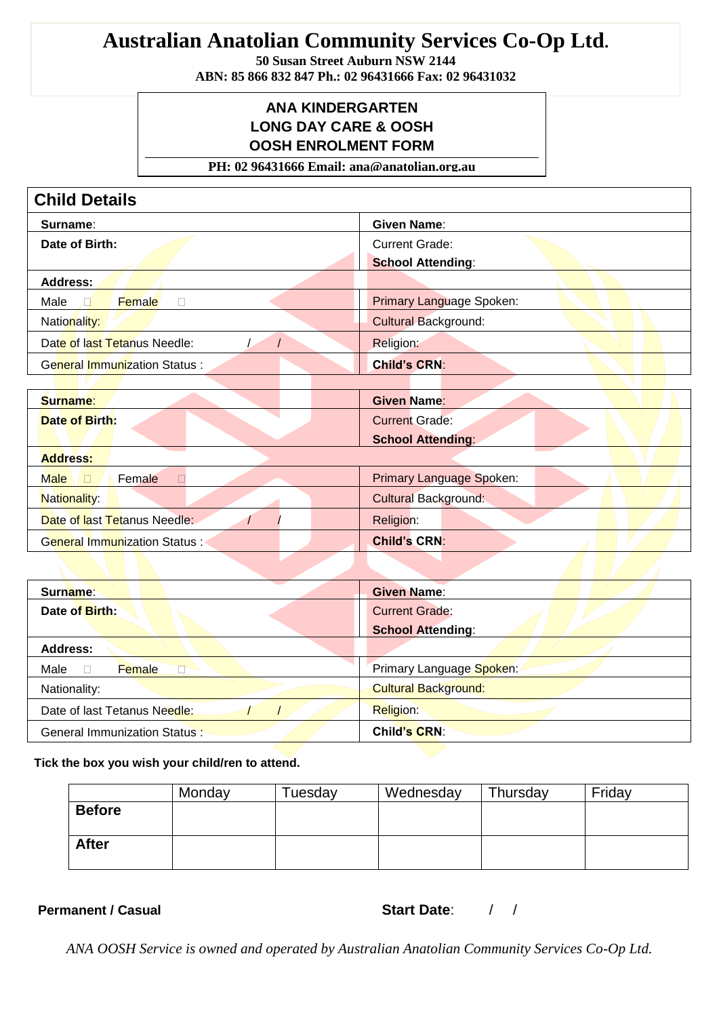# **Australian Anatolian Community Services Co-Op Ltd.**

**50 Susan Street Auburn NSW 2144**

**ABN: 85 866 832 847 Ph.: 02 96431666 Fax: 02 96431032**

#### **ANA KINDERGARTEN LONG DAY CARE & OOSH OOSH ENROLMENT FORM**

**PH: 02 96431666 Email: ana@anatolian.org.au**

| <b>Child Details</b>                       |                                 |
|--------------------------------------------|---------------------------------|
| Surname:                                   | <b>Given Name:</b>              |
| Date of Birth:                             | <b>Current Grade:</b>           |
|                                            | <b>School Attending:</b>        |
| <b>Address:</b>                            |                                 |
| Female<br>Male<br>$\Box$                   | <b>Primary Language Spoken:</b> |
| Nationality:                               | <b>Cultural Background:</b>     |
| Date of last Tetanus Needle:<br>$\sqrt{2}$ | Religion:                       |
| <b>General Immunization Status:</b>        | <b>Child's CRN:</b>             |
|                                            |                                 |
| Surname:                                   | <b>Given Name:</b>              |
| <b>Date of Birth:</b>                      | <b>Current Grade:</b>           |
|                                            | <b>School Attending:</b>        |
| <b>Address:</b>                            |                                 |
| <b>Male</b><br>Female<br>$\Box$<br>П       | <b>Primary Language Spoken:</b> |
| Nationality:                               | <b>Cultural Background:</b>     |
| Date of last Tetanus Needle:               | Religion:                       |
| <b>General Immunization Status:</b>        | <b>Child's CRN:</b>             |
|                                            |                                 |
| Surname:                                   | <b>Given Name:</b>              |
| Date of Birth:                             | <b>Current Grade:</b>           |
|                                            | <b>School Attending:</b>        |
| <b>Address:</b>                            |                                 |
| Female<br>Male<br>П<br>П                   | Primary Language Spoken:        |
| Nationality:                               | <b>Cultural Background:</b>     |
| Date of last Tetanus Needle:               | Religion:                       |
| <b>General Immunization Status:</b>        | <b>Child's CRN:</b>             |

**Tick the box you wish your child/ren to attend.**

|               | Monday | Tuesday | Wednesday | Thursday | Friday |
|---------------|--------|---------|-----------|----------|--------|
| <b>Before</b> |        |         |           |          |        |
|               |        |         |           |          |        |
| <b>After</b>  |        |         |           |          |        |
|               |        |         |           |          |        |

**Permanent / Casual** 

| <b>Start Date:</b> |  |
|--------------------|--|
|                    |  |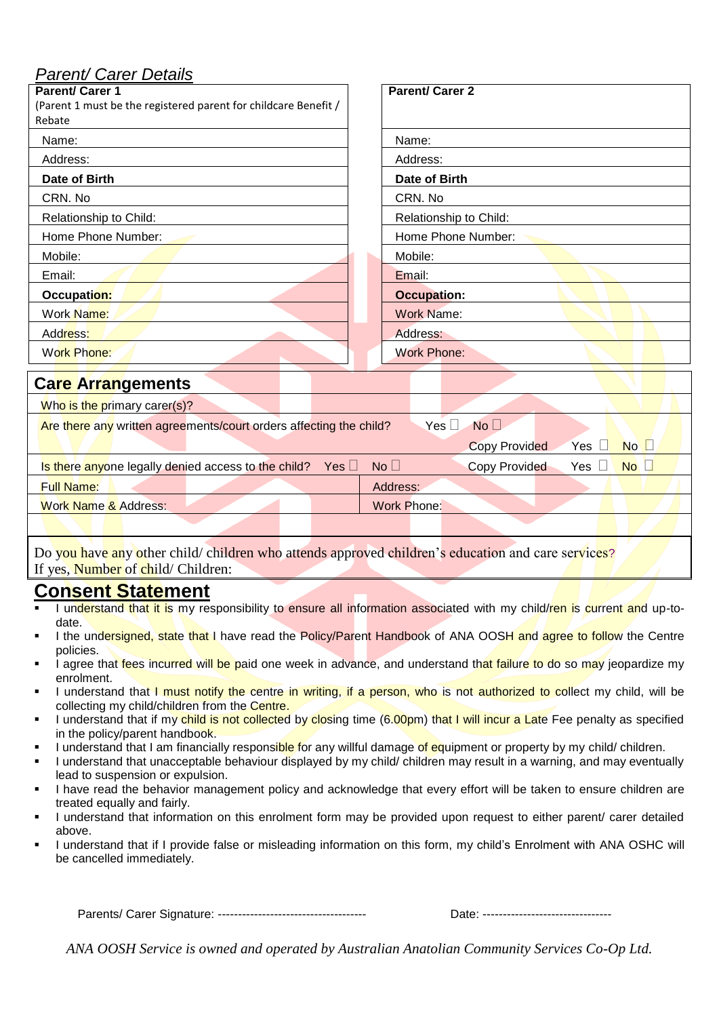## *Parent/ Carer Details*

| arone baror <i>b</i> otano<br>Parent/ Carer 1<br>(Parent 1 must be the registered parent for childcare Benefit /<br>Rebate                                     | <b>Parent/Carer 2</b>                               |  |  |
|----------------------------------------------------------------------------------------------------------------------------------------------------------------|-----------------------------------------------------|--|--|
| Name:                                                                                                                                                          | Name:                                               |  |  |
| Address:                                                                                                                                                       | Address:                                            |  |  |
| Date of Birth                                                                                                                                                  | Date of Birth                                       |  |  |
| CRN. No                                                                                                                                                        | CRN. No                                             |  |  |
| Relationship to Child:                                                                                                                                         | Relationship to Child:                              |  |  |
| Home Phone Number:                                                                                                                                             | Home Phone Number:                                  |  |  |
| Mobile:                                                                                                                                                        | Mobile:                                             |  |  |
| Email:                                                                                                                                                         | Email:                                              |  |  |
| Occupation:                                                                                                                                                    | <b>Occupation:</b>                                  |  |  |
| Work Name:                                                                                                                                                     | <b>Work Name:</b>                                   |  |  |
| Address:                                                                                                                                                       | Address:                                            |  |  |
| <b>Work Phone:</b>                                                                                                                                             | <b>Work Phone:</b>                                  |  |  |
| <b>Care Arrangements</b>                                                                                                                                       |                                                     |  |  |
| Who is the primary carer(s)?                                                                                                                                   |                                                     |  |  |
| Yes $\square$<br>No <sub>1</sub><br>Are there any written agreements/court orders affecting the child?<br>$No$ $\Box$<br><b>Copy Provided</b><br>Yes<br>$\Box$ |                                                     |  |  |
| Is there anyone legally denied access to the child?<br>Yes $\Box$                                                                                              | Copy Provided<br>Yes $\square$<br>$No$ $\Box$<br>No |  |  |
| <b>Full Name:</b>                                                                                                                                              | Address:                                            |  |  |
| <b>Work Name &amp; Address:</b>                                                                                                                                | <b>Work Phone:</b>                                  |  |  |
|                                                                                                                                                                |                                                     |  |  |

Do you have any other child/ children who attends approved children's education and care services? If yes, Number of child/ Children:

# **Consent Statement**

- I understand that it is my responsibility to ensure all information associated with my child/ren is current and up-todate.
- I the undersigned, state that I have read the Policy/Parent Handbook of ANA OOSH and agree to follow the Centre policies.
- I agree that fees incurred will be paid one week in advance, and understand that failure to do so may jeopardize my enrolment.
- I understand that I must notify the centre in writing, if a person, who is not authorized to collect my child, will be collecting my child/children from the Centre.
- I understand that if my child is not collected by closing time (6.00pm) that I will incur a Late Fee penalty as specified in the policy/parent handbook.
- I understand that I am financially responsible for any willful damage of equipment or property by my child/ children.
- I understand that unacceptable behaviour displayed by my child/ children may result in a warning, and may eventually lead to suspension or expulsion.
- **I** have read the behavior management policy and acknowledge that every effort will be taken to ensure children are treated equally and fairly.
- I understand that information on this enrolment form may be provided upon request to either parent/ carer detailed above.
- I understand that if I provide false or misleading information on this form, my child's Enrolment with ANA OSHC will be cancelled immediately.

Parents/ Carer Signature: ------------------------------------- Date: --------------------------------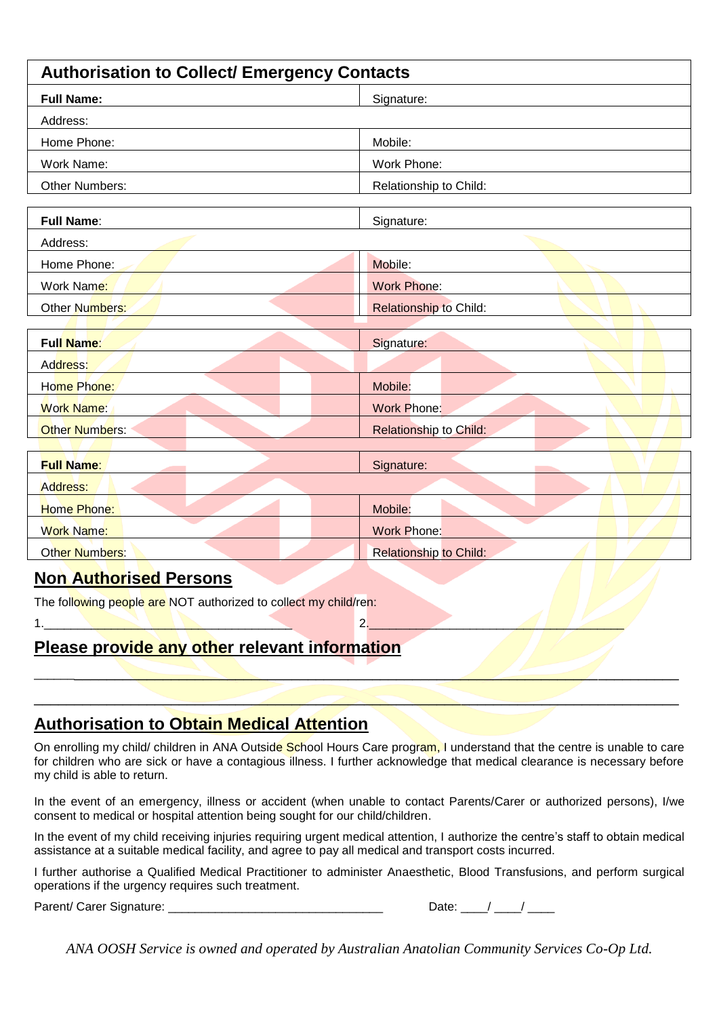| <b>Authorisation to Collect/ Emergency Contacts</b> |                               |  |  |
|-----------------------------------------------------|-------------------------------|--|--|
| <b>Full Name:</b>                                   | Signature:                    |  |  |
| Address:                                            |                               |  |  |
| Home Phone:                                         | Mobile:                       |  |  |
| Work Name:                                          | Work Phone:                   |  |  |
| <b>Other Numbers:</b>                               | Relationship to Child:        |  |  |
| <b>Full Name:</b>                                   | Signature:                    |  |  |
| Address:                                            |                               |  |  |
| Home Phone:                                         | Mobile:                       |  |  |
| Work Name:                                          | <b>Work Phone:</b>            |  |  |
| Other Numbers:                                      | <b>Relationship to Child:</b> |  |  |
| <b>Full Name:</b>                                   | Signature:                    |  |  |
| Address:                                            |                               |  |  |
| Home Phone:                                         | Mobile:                       |  |  |
| <b>Work Name:</b>                                   | <b>Work Phone:</b>            |  |  |
| <b>Other Numbers:</b>                               | <b>Relationship to Child:</b> |  |  |
|                                                     |                               |  |  |
| <b>Full Name:</b>                                   | Signature:                    |  |  |
| Address:                                            |                               |  |  |
| Home Phone:                                         | Mobile:                       |  |  |
| <b>Work Name:</b>                                   | <b>Work Phone:</b>            |  |  |
| Other Numbers:                                      | <b>Relationship to Child:</b> |  |  |

### **Non Authorised Persons**

The following people are NOT authorized to collect my child/ren:

1.\_\_\_\_\_\_\_\_\_\_\_\_\_\_\_\_\_\_\_\_\_\_\_\_\_\_\_\_\_\_\_\_\_\_\_\_\_ 2.\_\_\_\_\_\_\_\_\_\_\_\_\_\_\_\_\_\_\_\_\_\_\_\_\_\_\_\_\_\_\_\_\_\_\_\_\_\_

# **Please provide any other relevant information**

### **Authorisation to Obtain Medical Attention**

On enrolling my child/ children in ANA Outside School Hours Care program, I understand that the centre is unable to care for children who are sick or have a contagious illness. I further acknowledge that medical clearance is necessary before my child is able to return.

\_\_\_\_\_\_\_\_\_\_\_\_\_\_\_\_\_\_\_\_\_\_\_\_\_\_\_\_\_\_\_\_\_\_\_\_\_\_\_\_\_\_\_\_\_\_\_\_\_\_\_\_\_\_\_\_\_\_\_\_\_\_\_\_\_\_\_\_\_\_\_\_\_\_\_\_\_\_\_\_\_

\_\_\_\_\_\_\_\_\_\_\_\_\_\_\_\_\_\_\_\_\_\_\_\_\_\_\_\_\_\_\_\_\_\_\_\_\_\_\_\_\_\_\_\_\_\_\_\_\_\_\_\_\_\_\_\_\_\_\_\_\_\_\_\_\_\_\_\_\_\_\_\_\_\_\_\_\_\_\_\_

In the event of an emergency, illness or accident (when unable to contact Parents/Carer or authorized persons), I/we consent to medical or hospital attention being sought for our child/children.

In the event of my child receiving injuries requiring urgent medical attention, I authorize the centre's staff to obtain medical assistance at a suitable medical facility, and agree to pay all medical and transport costs incurred.

I further authorise a Qualified Medical Practitioner to administer Anaesthetic, Blood Transfusions, and perform surgical operations if the urgency requires such treatment.

Parent/ Carer Signature:

| Date: |  |  |
|-------|--|--|
|       |  |  |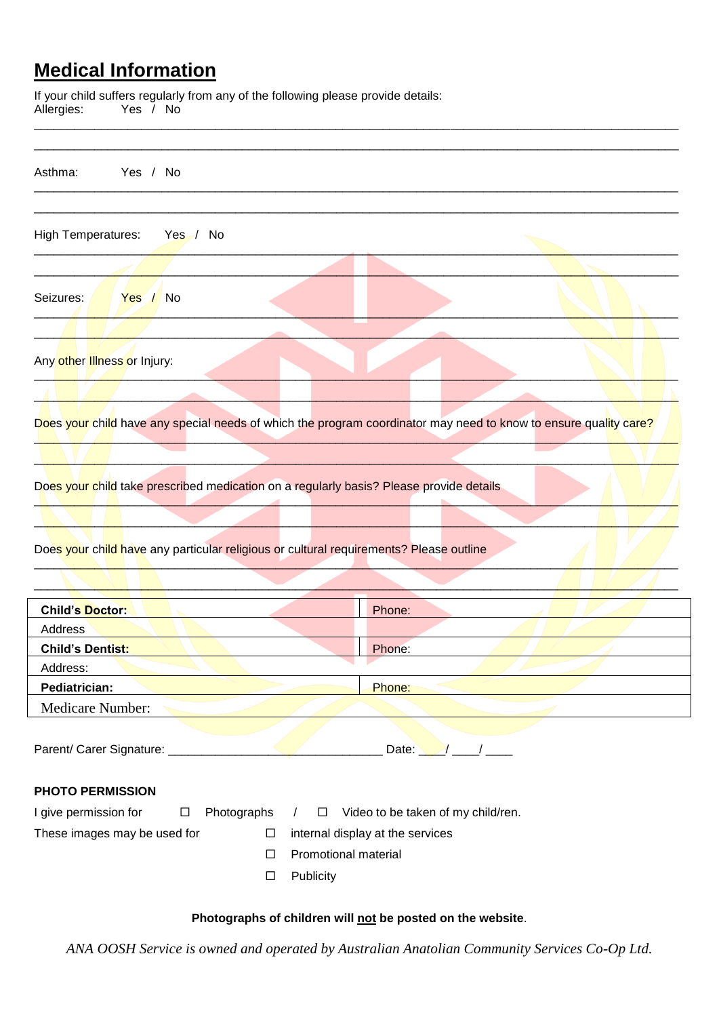# **Medical Information**

If your child suffers regularly from any of the following please provide details: Allergies: Yes / No

| Asthma:<br>Yes / No                                                                                              |                           |                                    |  |
|------------------------------------------------------------------------------------------------------------------|---------------------------|------------------------------------|--|
| <b>High Temperatures:</b><br>Yes / No                                                                            |                           |                                    |  |
|                                                                                                                  |                           |                                    |  |
| Seizures:<br>Yes / No                                                                                            |                           |                                    |  |
|                                                                                                                  |                           |                                    |  |
| Any other Illness or Injury:                                                                                     |                           |                                    |  |
|                                                                                                                  |                           |                                    |  |
| Does your child have any special needs of which the program coordinator may need to know to ensure quality care? |                           |                                    |  |
|                                                                                                                  |                           |                                    |  |
|                                                                                                                  |                           |                                    |  |
| Does your child take prescribed medication on a regularly basis? Please provide details                          |                           |                                    |  |
|                                                                                                                  |                           |                                    |  |
|                                                                                                                  |                           |                                    |  |
| Does your child have any particular religious or cultural requirements? Please outline                           |                           |                                    |  |
|                                                                                                                  |                           |                                    |  |
|                                                                                                                  |                           |                                    |  |
| <b>Child's Doctor:</b>                                                                                           |                           | Phone:                             |  |
| Address                                                                                                          |                           |                                    |  |
| <b>Child's Dentist:</b>                                                                                          |                           | Phone:                             |  |
| Address:                                                                                                         |                           |                                    |  |
| Pediatrician:                                                                                                    |                           | Phone:                             |  |
| Medicare Number:                                                                                                 |                           |                                    |  |
| Parent/ Carer Signature: ________________                                                                        |                           | Date: $\sqrt{1-\frac{1}{2}}$       |  |
| <b>PHOTO PERMISSION</b>                                                                                          |                           |                                    |  |
| I give permission for<br>Photographs<br>$\Box$                                                                   | ப                         | Video to be taken of my child/ren. |  |
| These images may be used for                                                                                     | $\Box$                    | internal display at the services   |  |
|                                                                                                                  | Promotional material<br>□ |                                    |  |
|                                                                                                                  | Publicity<br>□            |                                    |  |
|                                                                                                                  |                           |                                    |  |

\_\_\_\_\_\_\_\_\_\_\_\_\_\_\_\_\_\_\_\_\_\_\_\_\_\_\_\_\_\_\_\_\_\_\_\_\_\_\_\_\_\_\_\_\_\_\_\_\_\_\_\_\_\_\_\_\_\_\_\_\_\_\_\_\_\_\_\_\_\_\_\_\_\_\_\_\_\_\_\_\_\_\_\_\_\_\_\_\_\_\_\_\_\_\_\_

#### **Photographs of children will not be posted on the website**.